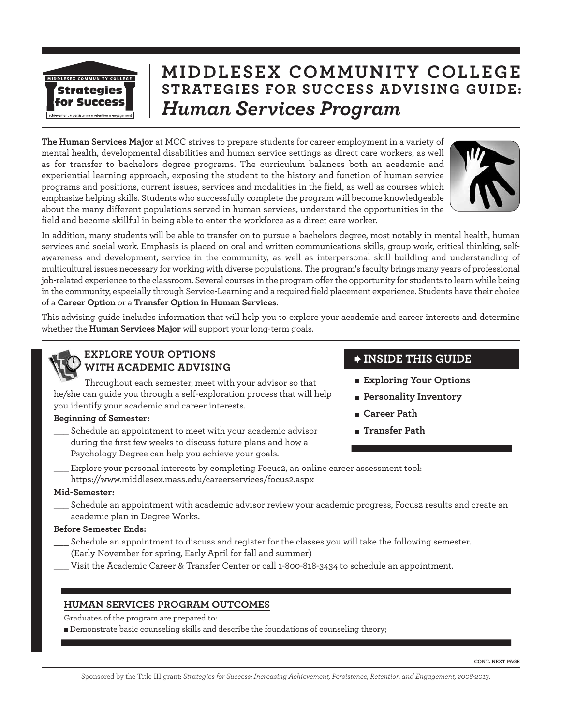

# **MIDDLESEX COMMUNITY COLLEGE STRATEGIES FOR SUCCESS ADVISING GUIDE:** *Human Services Program*

**The Human Services Major** at MCC strives to prepare students for career employment in a variety of mental health, developmental disabilities and human service settings as direct care workers, as well as for transfer to bachelors degree programs. The curriculum balances both an academic and experiential learning approach, exposing the student to the history and function of human service programs and positions, current issues, services and modalities in the field, as well as courses which emphasize helping skills. Students who successfully complete the program will become knowledgeable about the many different populations served in human services, understand the opportunities in the field and become skillful in being able to enter the workforce as a direct care worker.



In addition, many students will be able to transfer on to pursue a bachelors degree, most notably in mental health, human services and social work. Emphasis is placed on oral and written communications skills, group work, critical thinking, selfawareness and development, service in the community, as well as interpersonal skill building and understanding of multicultural issues necessary for working with diverse populations. The program's faculty brings many years of professional job-related experience to the classroom. Several courses in the program offer the opportunity for students to learn while being in the community, especially through Service-Learning and a required field placement experience. Students have their choice of a **Career Option** or a **Transfer Option in Human Services**.

This advising guide includes information that will help you to explore your academic and career interests and determine whether the **Human Services Major** will support your long-term goals.

## **EXPLORE YOUR OPTIONS WITH ACADEMIC ADVISING**

Throughout each semester, meet with your advisor so that he/she can guide you through a self-exploration process that will help you identify your academic and career interests.

### **Beginning of Semester:**

Schedule an appointment to meet with your academic advisor during the first few weeks to discuss future plans and how a Psychology Degree can help you achieve your goals.

## **INSIDE THIS GUIDE**

- **Exploring Your Options**
- **Personality Inventory**
- **Career Path**
- **Transfer Path**
- Explore your personal interests by completing Focus2, an online career assessment tool: https://www.middlesex.mass.edu/careerservices/focus2.aspx

#### **Mid-Semester:**

Schedule an appointment with academic advisor review your academic progress, Focus2 results and create an academic plan in Degree Works.

### **Before Semester Ends:**

- Schedule an appointment to discuss and register for the classes you will take the following semester. (Early November for spring, Early April for fall and summer)
- Visit the Academic Career & Transfer Center or call 1-800-818-3434 to schedule an appointment.

### **HUMAN SERVICES PROGRAM OUTCOMES**

Graduates of the program are prepared to:

Demonstrate basic counseling skills and describe the foundations of counseling theory;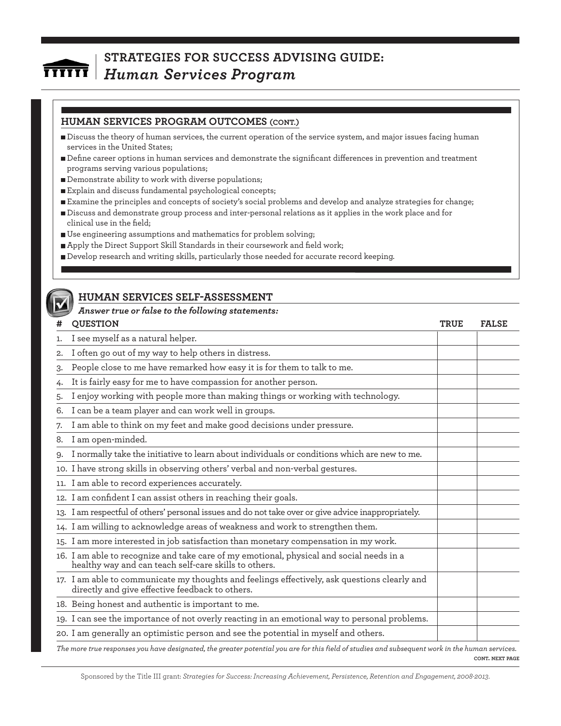### **HUMAN SERVICES PROGRAM OUTCOMES (CONT.)**

- Discuss the theory of human services, the current operation of the service system, and major issues facing human services in the United States;
- Define career options in human services and demonstrate the significant differences in prevention and treatment programs serving various populations;
- Demonstrate ability to work with diverse populations;
- Explain and discuss fundamental psychological concepts;
- Examine the principles and concepts of society's social problems and develop and analyze strategies for change;
- Discuss and demonstrate group process and inter-personal relations as it applies in the work place and for clinical use in the field;
- Use engineering assumptions and mathematics for problem solving;
- Apply the Direct Support Skill Standards in their coursework and field work;
- Develop research and writing skills, particularly those needed for accurate record keeping.



### **HUMAN SERVICES SELF-ASSESSMENT**

#### *Answer true or false to the following statements:*

| #  | <b>QUESTION</b>                                                                                                                                   | <b>TRUE</b> | <b>FALSE</b> |
|----|---------------------------------------------------------------------------------------------------------------------------------------------------|-------------|--------------|
| 1. | I see myself as a natural helper.                                                                                                                 |             |              |
| 2. | I often go out of my way to help others in distress.                                                                                              |             |              |
| 3. | People close to me have remarked how easy it is for them to talk to me.                                                                           |             |              |
| 4. | It is fairly easy for me to have compassion for another person.                                                                                   |             |              |
| 5. | I enjoy working with people more than making things or working with technology.                                                                   |             |              |
| 6. | I can be a team player and can work well in groups.                                                                                               |             |              |
| 7. | I am able to think on my feet and make good decisions under pressure.                                                                             |             |              |
| 8. | I am open-minded.                                                                                                                                 |             |              |
| 9. | I normally take the initiative to learn about individuals or conditions which are new to me.                                                      |             |              |
|    | 10. I have strong skills in observing others' verbal and non-verbal gestures.                                                                     |             |              |
|    | 11. I am able to record experiences accurately.                                                                                                   |             |              |
|    | 12. I am confident I can assist others in reaching their goals.                                                                                   |             |              |
|    | 13. I am respectful of others' personal issues and do not take over or give advice inappropriately.                                               |             |              |
|    | 14. I am willing to acknowledge areas of weakness and work to strengthen them.                                                                    |             |              |
|    | 15. I am more interested in job satisfaction than monetary compensation in my work.                                                               |             |              |
|    | 16. I am able to recognize and take care of my emotional, physical and social needs in a<br>healthy way and can teach self-care skills to others. |             |              |
|    | 17. I am able to communicate my thoughts and feelings effectively, ask questions clearly and<br>directly and give effective feedback to others.   |             |              |
|    | 18. Being honest and authentic is important to me.                                                                                                |             |              |
|    | 19. I can see the importance of not overly reacting in an emotional way to personal problems.                                                     |             |              |
|    | 20. I am generally an optimistic person and see the potential in myself and others.                                                               |             |              |
|    |                                                                                                                                                   |             |              |

**CONT. NEXT PAGE** *The more true responses you have designated, the greater potential you are for this field of studies and subsequent work in the human services.*

Sponsored by the Title III grant: *Strategies for Success: Increasing Achievement, Persistence, Retention and Engagement, 2008-2013*.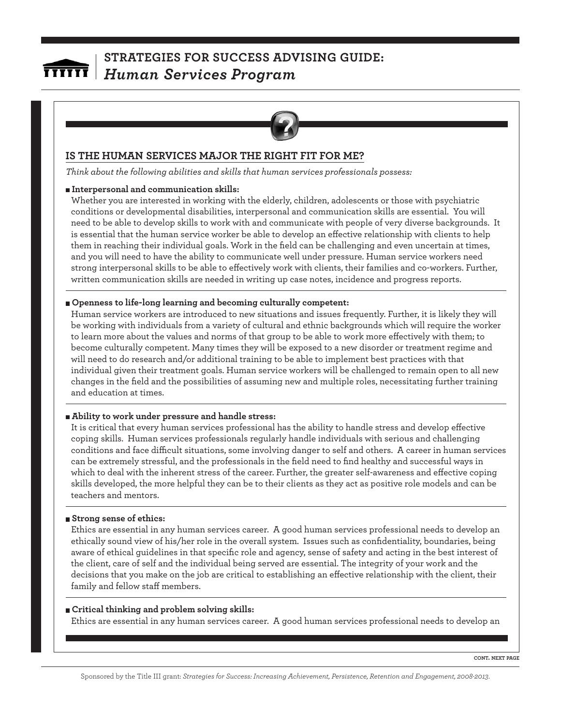

## **IS THE HUMAN SERVICES MAJOR THE RIGHT FIT FOR ME?**

*Think about the following abilities and skills that human services professionals possess:*

#### **Interpersonal and communication skills:**

Whether you are interested in working with the elderly, children, adolescents or those with psychiatric conditions or developmental disabilities, interpersonal and communication skills are essential. You will need to be able to develop skills to work with and communicate with people of very diverse backgrounds. It is essential that the human service worker be able to develop an effective relationship with clients to help them in reaching their individual goals. Work in the field can be challenging and even uncertain at times, and you will need to have the ability to communicate well under pressure. Human service workers need strong interpersonal skills to be able to effectively work with clients, their families and co-workers. Further, written communication skills are needed in writing up case notes, incidence and progress reports.

#### **Openness to life-long learning and becoming culturally competent:**

Human service workers are introduced to new situations and issues frequently. Further, it is likely they will be working with individuals from a variety of cultural and ethnic backgrounds which will require the worker to learn more about the values and norms of that group to be able to work more effectively with them; to become culturally competent. Many times they will be exposed to a new disorder or treatment regime and will need to do research and/or additional training to be able to implement best practices with that individual given their treatment goals. Human service workers will be challenged to remain open to all new changes in the field and the possibilities of assuming new and multiple roles, necessitating further training and education at times.

#### **Ability to work under pressure and handle stress:**

It is critical that every human services professional has the ability to handle stress and develop effective coping skills. Human services professionals regularly handle individuals with serious and challenging conditions and face difficult situations, some involving danger to self and others. A career in human services can be extremely stressful, and the professionals in the field need to find healthy and successful ways in which to deal with the inherent stress of the career. Further, the greater self-awareness and effective coping skills developed, the more helpful they can be to their clients as they act as positive role models and can be teachers and mentors.

#### **Strong sense of ethics:**

Ethics are essential in any human services career. A good human services professional needs to develop an ethically sound view of his/her role in the overall system. Issues such as confidentiality, boundaries, being aware of ethical guidelines in that specific role and agency, sense of safety and acting in the best interest of the client, care of self and the individual being served are essential. The integrity of your work and the decisions that you make on the job are critical to establishing an effective relationship with the client, their family and fellow staff members.

#### **Critical thinking and problem solving skills:**

Ethics are essential in any human services career. A good human services professional needs to develop an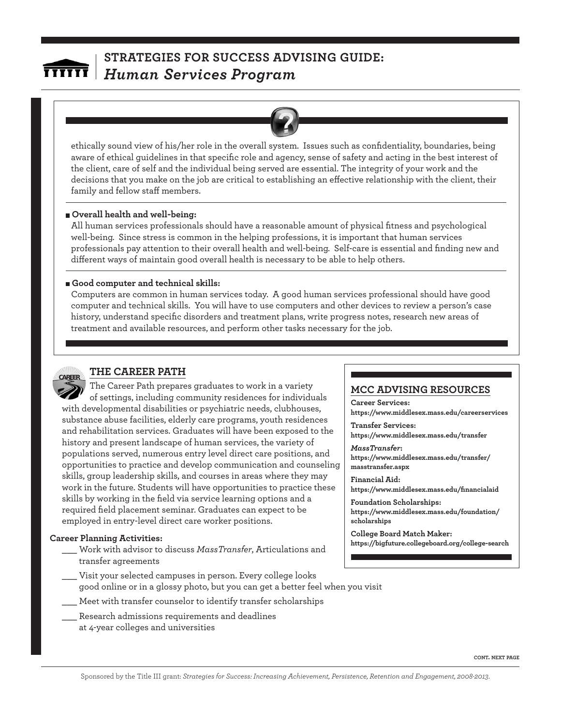ethically sound view of his/her role in the overall system. Issues such as confidentiality, boundaries, being aware of ethical guidelines in that specific role and agency, sense of safety and acting in the best interest of the client, care of self and the individual being served are essential. The integrity of your work and the decisions that you make on the job are critical to establishing an effective relationship with the client, their family and fellow staff members.

#### **Overall health and well-being:**

All human services professionals should have a reasonable amount of physical fitness and psychological well-being. Since stress is common in the helping professions, it is important that human services professionals pay attention to their overall health and well-being. Self-care is essential and finding new and different ways of maintain good overall health is necessary to be able to help others.

#### **Good computer and technical skills:**

Computers are common in human services today. A good human services professional should have good computer and technical skills. You will have to use computers and other devices to review a person's case history, understand specific disorders and treatment plans, write progress notes, research new areas of treatment and available resources, and perform other tasks necessary for the job.



#### **THE CAREER PATH**

The Career Path prepares graduates to work in a variety of settings, including community residences for individuals with developmental disabilities or psychiatric needs, clubhouses, substance abuse facilities, elderly care programs, youth residences and rehabilitation services. Graduates will have been exposed to the history and present landscape of human services, the variety of populations served, numerous entry level direct care positions, and opportunities to practice and develop communication and counseling skills, group leadership skills, and courses in areas where they may work in the future. Students will have opportunities to practice these skills by working in the field via service learning options and a required field placement seminar. Graduates can expect to be employed in entry-level direct care worker positions.

#### **Career Planning Activities:**

- \_\_\_ Work with advisor to discuss *MassTransfer*, Articulations and transfer agreements
- Visit your selected campuses in person. Every college looks good online or in a glossy photo, but you can get a better feel when you visit
	- Meet with transfer counselor to identify transfer scholarships
- Research admissions requirements and deadlines at 4-year colleges and universities

#### **MCC ADVISING RESOURCES**

**Career Services: https://www.middlesex.mass.edu/careerservices Transfer Services:**

**https://www.middlesex.mass.edu/transfer**

*MassTransfer***: https://www.middlesex.mass.edu/transfer/ masstransfer.aspx**

**Financial Aid: https://www.middlesex.mass.edu/financialaid**

**Foundation Scholarships: https://www.middlesex.mass.edu/foundation/ scholarships**

**College Board Match Maker: https://bigfuture.collegeboard.org/college-search**